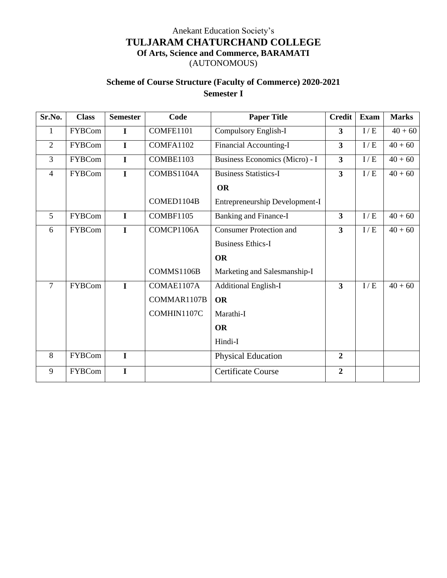## Anekant Education Society's **TULJARAM CHATURCHAND COLLEGE Of Arts, Science and Commerce, BARAMATI** (AUTONOMOUS)

## **Scheme of Course Structure (Faculty of Commerce) 2020-2021 Semester I**

| Sr.No.         | <b>Class</b>  | <b>Semester</b> | Code        | <b>Paper Title</b>             | <b>Credit</b>           | Exam | <b>Marks</b> |
|----------------|---------------|-----------------|-------------|--------------------------------|-------------------------|------|--------------|
| 1              | <b>FYBCom</b> | $\mathbf I$     | COMFE1101   | Compulsory English-I           | $\overline{\mathbf{3}}$ | I/E  | $40 + 60$    |
| $\overline{2}$ | <b>FYBCom</b> | $\mathbf I$     | COMFA1102   | Financial Accounting-I         | $\overline{\mathbf{3}}$ | I/E  | $40 + 60$    |
| $\overline{3}$ | <b>FYBCom</b> | $\mathbf I$     | COMBE1103   | Business Economics (Micro) - I | $\overline{\mathbf{3}}$ | I/E  | $40 + 60$    |
| $\overline{4}$ | <b>FYBCom</b> | $\mathbf I$     | COMBS1104A  | <b>Business Statistics-I</b>   | $\overline{\mathbf{3}}$ | I/E  | $40 + 60$    |
|                |               |                 |             | <b>OR</b>                      |                         |      |              |
|                |               |                 | COMED1104B  | Entrepreneurship Development-I |                         |      |              |
| 5              | <b>FYBCom</b> | $\mathbf I$     | COMBF1105   | <b>Banking and Finance-I</b>   | $\overline{\mathbf{3}}$ | I/E  | $40 + 60$    |
| 6              | <b>FYBCom</b> | $\mathbf I$     | COMCP1106A  | <b>Consumer Protection and</b> | $\overline{\mathbf{3}}$ | I/E  | $40 + 60$    |
|                |               |                 |             | <b>Business Ethics-I</b>       |                         |      |              |
|                |               |                 |             | <b>OR</b>                      |                         |      |              |
|                |               |                 | COMMS1106B  | Marketing and Salesmanship-I   |                         |      |              |
| $\overline{7}$ | <b>FYBCom</b> | $\mathbf{I}$    | COMAE1107A  | <b>Additional English-I</b>    | $\overline{\mathbf{3}}$ | I/E  | $40 + 60$    |
|                |               |                 | COMMAR1107B | <b>OR</b>                      |                         |      |              |
|                |               |                 | COMHIN1107C | Marathi-I                      |                         |      |              |
|                |               |                 |             | <b>OR</b>                      |                         |      |              |
|                |               |                 |             | Hindi-I                        |                         |      |              |
| 8              | <b>FYBCom</b> | $\mathbf I$     |             | <b>Physical Education</b>      | $\overline{2}$          |      |              |
| 9              | <b>FYBCom</b> | $\mathbf I$     |             | <b>Certificate Course</b>      | $\overline{2}$          |      |              |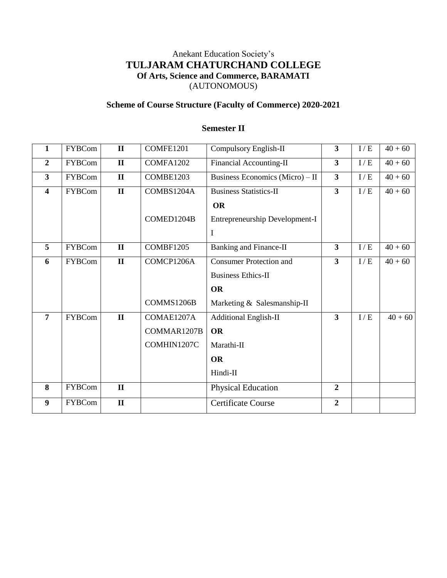## Anekant Education Society's **TULJARAM CHATURCHAND COLLEGE Of Arts, Science and Commerce, BARAMATI** (AUTONOMOUS)

### **Scheme of Course Structure (Faculty of Commerce) 2020-2021**

### **1** FYBCom **II** COMFE1201 Compulsory English-II **3**  $\vert$  I/E  $\vert$  40 + 60 **2** FYBCom **II** COMFA1202 Financial Accounting-II **3**  $\vert$  I/E  $\vert$  40 + 60 **3** FYBCom **II** COMBE1203 Business Economics (Micro) – II **3** I  $I/E$  40 + 60 **4** FYBCom **II** COMBS1204A COMED1204B Business Statistics-II **OR** Entrepreneurship Development-I I **3**  $I/E = 40 + 60$ **5** FYBCom **II** COMBF1205 Banking and Finance-II **3** I / E 40 + 60 **6** FYBCom **II** COMCP1206A COMMS1206B Consumer Protection and Business Ethics-II **OR** Marketing & Salesmanship-II **3** I/E  $40+60$ **7** FYBCom **II** COMAE1207A COMMAR1207B COMHIN1207C Additional English-II **OR** Marathi-II **OR** Hindi-II **3** I/E  $40 + 60$ **8** FYBCom **II** Physical Education **2 9** FYBCom **II** Certificate Course **2**

### **Semester II**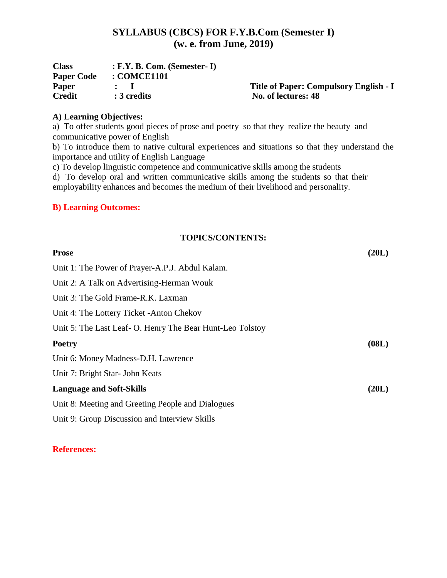## **SYLLABUS (CBCS) FOR F.Y.B.Com (Semester I) (w. e. from June, 2019)**

| <b>Class</b>      | $: F.Y. B. Com. (Semester-I)$ |                                        |
|-------------------|-------------------------------|----------------------------------------|
| <b>Paper Code</b> | : COMCE1101                   |                                        |
| <b>Paper</b>      |                               | Title of Paper: Compulsory English - I |
| <b>Credit</b>     | : 3 credits                   | No. of lectures: 48                    |

## **A) Learning Objectives:**

a) To offer students good pieces of prose and poetry so that they realize the beauty and communicative power of English

b) To introduce them to native cultural experiences and situations so that they understand the importance and utility of English Language

c) To develop linguistic competence and communicative skills among the students

d) To develop oral and written communicative skills among the students so that their employability enhances and becomes the medium of their livelihood and personality.

## **B) Learning Outcomes:**

### **TOPICS/CONTENTS:**

| <b>Prose</b>                                              | (20L) |
|-----------------------------------------------------------|-------|
| Unit 1: The Power of Prayer-A.P.J. Abdul Kalam.           |       |
| Unit 2: A Talk on Advertising-Herman Wouk                 |       |
| Unit 3: The Gold Frame-R.K. Laxman                        |       |
| Unit 4: The Lottery Ticket - Anton Chekov                 |       |
| Unit 5: The Last Leaf- O. Henry The Bear Hunt-Leo Tolstoy |       |
| <b>Poetry</b>                                             | (08L) |
| Unit 6: Money Madness-D.H. Lawrence                       |       |
| Unit 7: Bright Star- John Keats                           |       |
| <b>Language and Soft-Skills</b>                           | (20L) |
| Unit 8: Meeting and Greeting People and Dialogues         |       |
| Unit 9: Group Discussion and Interview Skills             |       |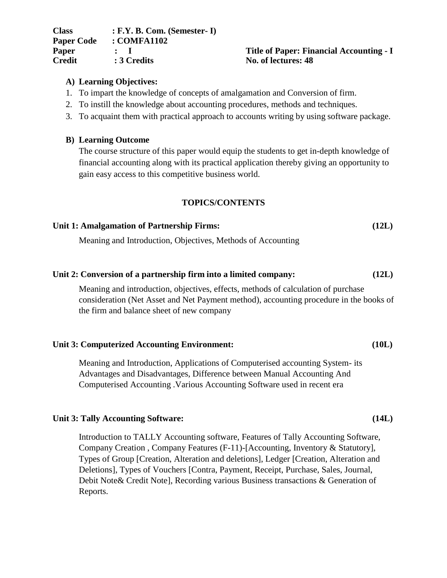| <b>Class</b>      | $: F.Y. B. Com. (Semester-I)$         |
|-------------------|---------------------------------------|
| <b>Paper Code</b> | : COMFA1102                           |
| Paper             | $\mathbf{r}$ is a set of $\mathbf{r}$ |
| <b>Credit</b>     | : 3 Credits                           |

### **Paper : I Title of Paper: Financial Accounting - I Credit : 3 Credits No. of lectures: 48**

### **A) Learning Objectives:**

- 1. To impart the knowledge of concepts of amalgamation and Conversion of firm.
- 2. To instill the knowledge about accounting procedures, methods and techniques.
- 3. To acquaint them with practical approach to accounts writing by using software package.

### **B) Learning Outcome**

The course structure of this paper would equip the students to get in-depth knowledge of financial accounting along with its practical application thereby giving an opportunity to gain easy access to this competitive business world.

### **TOPICS/CONTENTS**

## **Unit 1: Amalgamation of Partnership Firms: (12L)**

Meaning and Introduction, Objectives, Methods of Accounting

### **Unit 2: Conversion of a partnership firm into a limited company: (12L)**

Meaning and introduction, objectives, effects, methods of calculation of purchase consideration (Net Asset and Net Payment method), accounting procedure in the books of the firm and balance sheet of new company

### **Unit 3: Computerized Accounting Environment: (10L)**

Meaning and Introduction, Applications of Computerised accounting System- its Advantages and Disadvantages, Difference between Manual Accounting And Computerised Accounting .Various Accounting Software used in recent era

### **Unit 3: Tally Accounting Software: (14L)**

Introduction to TALLY Accounting software, Features of Tally Accounting Software, Company Creation , Company Features (F-11)-[Accounting, Inventory & Statutory], Types of Group [Creation, Alteration and deletions], Ledger [Creation, Alteration and Deletions], Types of Vouchers [Contra, Payment, Receipt, Purchase, Sales, Journal, Debit Note& Credit Note], Recording various Business transactions & Generation of Reports.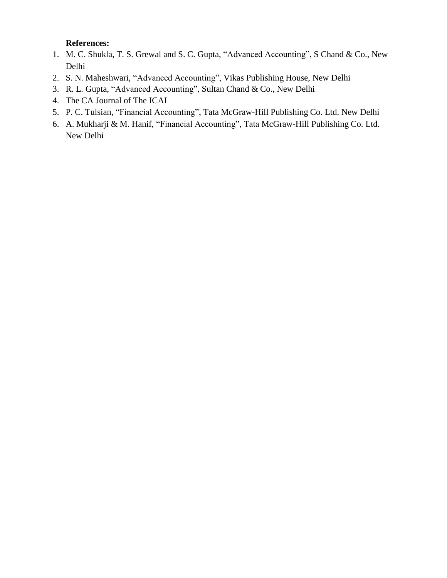- 1. M. C. Shukla, T. S. Grewal and S. C. Gupta, "Advanced Accounting", S Chand & Co., New Delhi
- 2. S. N. Maheshwari, "Advanced Accounting", Vikas Publishing House, New Delhi
- 3. R. L. Gupta, "Advanced Accounting", Sultan Chand & Co., New Delhi
- 4. The CA Journal of The ICAI
- 5. P. C. Tulsian, "Financial Accounting", Tata McGraw-Hill Publishing Co. Ltd. New Delhi
- 6. A. Mukharji & M. Hanif, "Financial Accounting", Tata McGraw-Hill Publishing Co. Ltd. New Delhi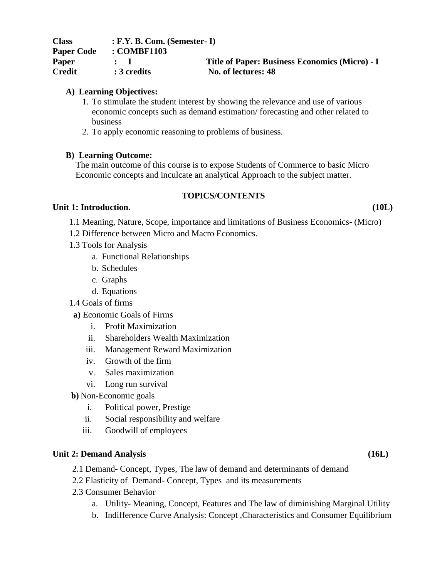| <b>Class</b>      | $: F.Y. B. Com. (Semester-I)$ |                                                |
|-------------------|-------------------------------|------------------------------------------------|
| <b>Paper Code</b> | : COMBF1103                   |                                                |
| <b>Paper</b>      |                               | Title of Paper: Business Economics (Micro) - I |
| <b>Credit</b>     | : 3 credits                   | No. of lectures: 48                            |

### **A) Learning Objectives:**

- 1. To stimulate the student interest by showing the relevance and use of various economic concepts such as demand estimation/ forecasting and other related to business
- 2. To apply economic reasoning to problems of business.

### **B) Learning Outcome:**

The main outcome of this course is to expose Students of Commerce to basic Micro Economic concepts and inculcate an analytical Approach to the subject matter.

### **TOPICS/CONTENTS**

### **Unit 1: Introduction. (10L)**

- 1.1 Meaning, Nature, Scope, importance and limitations of Business Economics- (Micro)
- 1.2 Difference between Micro and Macro Economics.
- 1.3 Tools for Analysis
	- a. Functional Relationships
	- b. Schedules
	- c. Graphs
	- d. Equations
- 1.4 Goals of firms
- **a)** Economic Goals of Firms
	- i. Profit Maximization
	- ii. Shareholders Wealth Maximization
	- iii. Management Reward Maximization
	- iv. Growth of the firm
	- v. Sales maximization
	- vi. Long run survival
- **b)** Non-Economic goals
	- i. Political power, Prestige
	- ii. Social responsibility and welfare
	- iii. Goodwill of employees

### **Unit 2: Demand Analysis (16L)**

- 2.1 Demand- Concept, Types, The law of demand and determinants of demand
- 2.2 Elasticity of Demand- Concept, Types and its measurements
- 2.3 Consumer Behavior
	- a. Utility- Meaning, Concept, Features and The law of diminishing Marginal Utility
	- b. Indifference Curve Analysis: Concept ,Characteristics and Consumer Equilibrium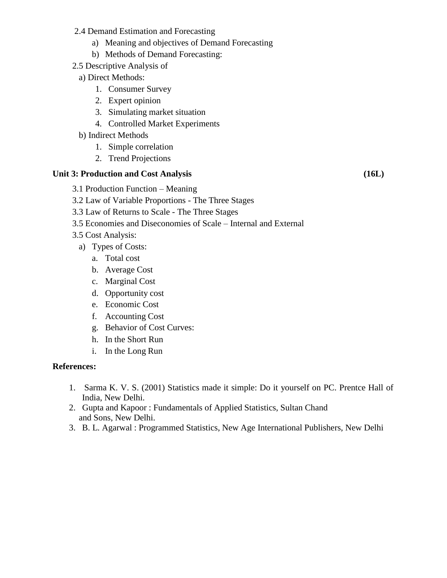- 2.4 Demand Estimation and Forecasting
	- a) Meaning and objectives of Demand Forecasting
	- b) Methods of Demand Forecasting:
- 2.5 Descriptive Analysis of
- a) Direct Methods:
	- 1. Consumer Survey
	- 2. Expert opinion
	- 3. Simulating market situation
	- 4. Controlled Market Experiments
- b) Indirect Methods
	- 1. Simple correlation
	- 2. Trend Projections

### **Unit 3: Production and Cost Analysis (16L)**

- 3.1 Production Function Meaning
- 3.2 Law of Variable Proportions The Three Stages
- 3.3 Law of Returns to Scale The Three Stages
- 3.5 Economies and Diseconomies of Scale Internal and External
- 3.5 Cost Analysis:
	- a) Types of Costs:
		- a. Total cost
		- b. Average Cost
		- c. Marginal Cost
		- d. Opportunity cost
		- e. Economic Cost
		- f. Accounting Cost
		- g. Behavior of Cost Curves:
		- h. In the Short Run
		- i. In the Long Run

- 1. Sarma K. V. S. (2001) Statistics made it simple: Do it yourself on PC. Prentce Hall of India, New Delhi.
- 2. Gupta and Kapoor : Fundamentals of Applied Statistics, Sultan Chand and Sons, New Delhi.
- 3. B. L. Agarwal : Programmed Statistics, New Age International Publishers, New Delhi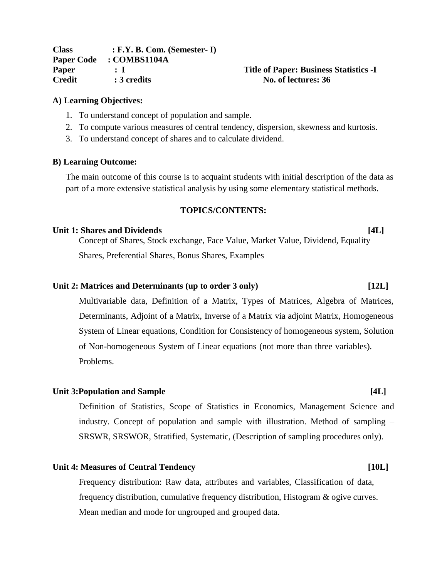| <b>Class</b>      | $: F.Y. B. Com. (Semester-I)$ |
|-------------------|-------------------------------|
| <b>Paper Code</b> | : COMBS1104A                  |
| <b>Paper</b>      | $\cdot$ T                     |
| <b>Credit</b>     | : 3 credits                   |

### **Paper : I Title of Paper: Business Statistics -I No.** of lectures: 36

### **A) Learning Objectives:**

- 1. To understand concept of population and sample.
- 2. To compute various measures of central tendency, dispersion, skewness and kurtosis.
- 3. To understand concept of shares and to calculate dividend.

### **B) Learning Outcome:**

The main outcome of this course is to acquaint students with initial description of the data as part of a more extensive statistical analysis by using some elementary statistical methods.

### **TOPICS/CONTENTS:**

### **Unit 1: Shares and Dividends [4L]**

Concept of Shares, Stock exchange, Face Value, Market Value, Dividend, Equality Shares, Preferential Shares, Bonus Shares, Examples

### **Unit 2: Matrices and Determinants (up to order 3 only) [12L]**

Multivariable data, Definition of a Matrix, Types of Matrices, Algebra of Matrices, Determinants, Adjoint of a Matrix, Inverse of a Matrix via adjoint Matrix, Homogeneous System of Linear equations, Condition for Consistency of homogeneous system, Solution of Non-homogeneous System of Linear equations (not more than three variables). Problems.

### **Unit 3:Population and Sample [4L]**

Definition of Statistics, Scope of Statistics in Economics, Management Science and industry. Concept of population and sample with illustration. Method of sampling – SRSWR, SRSWOR, Stratified, Systematic, (Description of sampling procedures only).

### **Unit 4: Measures of Central Tendency [10L]**

Frequency distribution: Raw data, attributes and variables, Classification of data, frequency distribution, cumulative frequency distribution, Histogram & ogive curves. Mean median and mode for ungrouped and grouped data.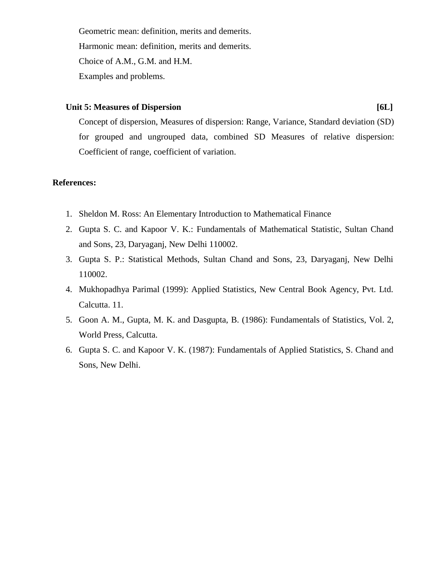Geometric mean: definition, merits and demerits. Harmonic mean: definition, merits and demerits. Choice of A.M., G.M. and H.M. Examples and problems.

### **Unit 5: Measures of Dispersion [6L]**

Concept of dispersion, Measures of dispersion: Range, Variance, Standard deviation (SD) for grouped and ungrouped data, combined SD Measures of relative dispersion: Coefficient of range, coefficient of variation.

- 1. Sheldon M. Ross: An Elementary Introduction to Mathematical Finance
- 2. Gupta S. C. and Kapoor V. K.: Fundamentals of Mathematical Statistic, Sultan Chand and Sons, 23, Daryaganj, New Delhi 110002.
- 3. Gupta S. P.: Statistical Methods, Sultan Chand and Sons, 23, Daryaganj, New Delhi 110002.
- 4. Mukhopadhya Parimal (1999): Applied Statistics, New Central Book Agency, Pvt. Ltd. Calcutta. 11.
- 5. Goon A. M., Gupta, M. K. and Dasgupta, B. (1986): Fundamentals of Statistics, Vol. 2, World Press, Calcutta.
- 6. Gupta S. C. and Kapoor V. K. (1987): Fundamentals of Applied Statistics, S. Chand and Sons, New Delhi.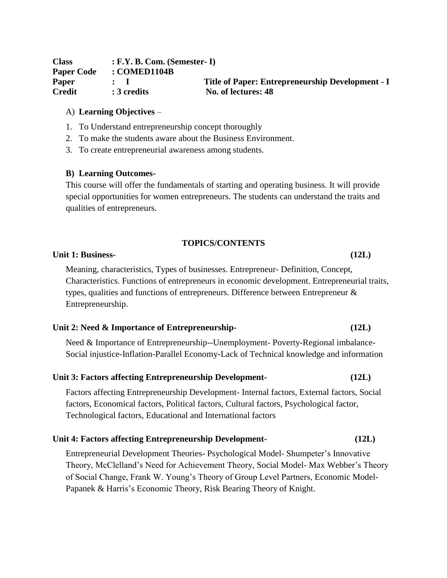| <b>Class</b>      | $: F.Y. B. Com. (Semester-I)$ |                                                  |
|-------------------|-------------------------------|--------------------------------------------------|
| <b>Paper Code</b> | : COMED1104B                  |                                                  |
| <b>Paper</b>      |                               | Title of Paper: Entrepreneurship Development - I |
| <b>Credit</b>     | : 3 credits                   | No. of lectures: 48                              |

### A) **Learning Objectives** –

- 1. To Understand entrepreneurship concept thoroughly
- 2. To make the students aware about the Business Environment.
- 3. To create entrepreneurial awareness among students.

### **B) Learning Outcomes-**

This course will offer the fundamentals of starting and operating business. It will provide special opportunities for women entrepreneurs. The students can understand the traits and qualities of entrepreneurs.

### **TOPICS/CONTENTS**

### **Unit 1: Business- (12L)**

Meaning, characteristics, Types of businesses. Entrepreneur- Definition, Concept, Characteristics. Functions of entrepreneurs in economic development. Entrepreneurial traits, types, qualities and functions of entrepreneurs. Difference between Entrepreneur & Entrepreneurship.

### **Unit 2: Need & Importance of Entrepreneurship- (12L)**

Need & Importance of Entrepreneurship--Unemployment- Poverty-Regional imbalance-Social injustice-Inflation-Parallel Economy-Lack of Technical knowledge and information

### **Unit 3: Factors affecting Entrepreneurship Development- (12L)**

Factors affecting Entrepreneurship Development- Internal factors, External factors, Social factors, Economical factors, Political factors, Cultural factors, Psychological factor, Technological factors, Educational and International factors

### **Unit 4: Factors affecting Entrepreneurship Development- (12L)**

Entrepreneurial Development Theories- Psychological Model- Shumpeter's Innovative Theory, McClelland's Need for Achievement Theory, Social Model- Max Webber's Theory of Social Change, Frank W. Young's Theory of Group Level Partners, Economic Model-Papanek & Harris's Economic Theory, Risk Bearing Theory of Knight.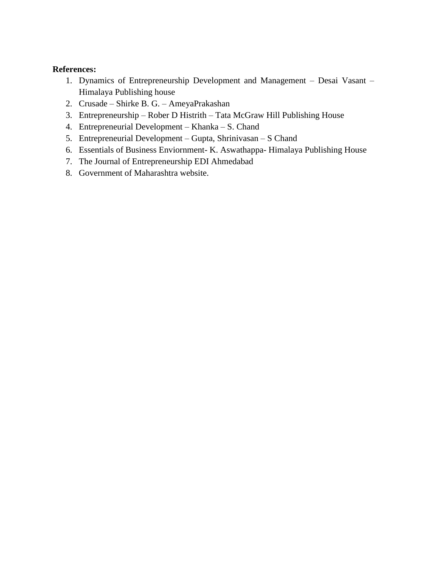- 1. Dynamics of Entrepreneurship Development and Management Desai Vasant Himalaya Publishing house
- 2. Crusade Shirke B. G. AmeyaPrakashan
- 3. Entrepreneurship Rober D Histrith Tata McGraw Hill Publishing House
- 4. Entrepreneurial Development Khanka S. Chand
- 5. Entrepreneurial Development Gupta, Shrinivasan S Chand
- 6. Essentials of Business Enviornment- K. Aswathappa- Himalaya Publishing House
- 7. The Journal of Entrepreneurship EDI Ahmedabad
- 8. Government of Maharashtra website.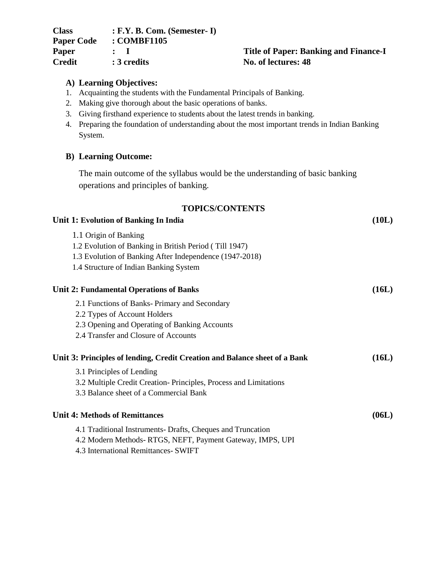| <b>Class</b>      | $: F.Y. B. Com. (Semester-I)$ |
|-------------------|-------------------------------|
| <b>Paper Code</b> | : COMBF1105                   |
| Paper             | $\cdot$ 1                     |
| <b>Credit</b>     | : 3 credits                   |

### **Paper : I Title of Paper: Banking and Finance-I No.** of lectures:  $48$

### **A) Learning Objectives:**

- 1. Acquainting the students with the Fundamental Principals of Banking.
- 2. Making give thorough about the basic operations of banks.
- 3. Giving firsthand experience to students about the latest trends in banking.
- 4. Preparing the foundation of understanding about the most important trends in Indian Banking System.

### **B) Learning Outcome:**

The main outcome of the syllabus would be the understanding of basic banking operations and principles of banking.

### **TOPICS/CONTENTS**

| Unit 1: Evolution of Banking In India                                                             | (10L) |
|---------------------------------------------------------------------------------------------------|-------|
| 1.1 Origin of Banking<br>1.2 Evolution of Banking in British Period (Till 1947)                   |       |
| 1.3 Evolution of Banking After Independence (1947-2018)<br>1.4 Structure of Indian Banking System |       |
| <b>Unit 2: Fundamental Operations of Banks</b>                                                    | (16L) |
| 2.1 Functions of Banks-Primary and Secondary                                                      |       |
| 2.2 Types of Account Holders                                                                      |       |
| 2.3 Opening and Operating of Banking Accounts                                                     |       |
| 2.4 Transfer and Closure of Accounts                                                              |       |
| Unit 3: Principles of lending, Credit Creation and Balance sheet of a Bank                        | (16L) |
| 3.1 Principles of Lending                                                                         |       |
| 3.2 Multiple Credit Creation-Principles, Process and Limitations                                  |       |
| 3.3 Balance sheet of a Commercial Bank                                                            |       |
| <b>Unit 4: Methods of Remittances</b>                                                             | (06L) |
| 4.1 Traditional Instruments-Drafts, Cheques and Truncation                                        |       |
| 4.2 Modern Methods-RTGS, NEFT, Payment Gateway, IMPS, UPI                                         |       |
|                                                                                                   |       |

4.3 International Remittances- SWIFT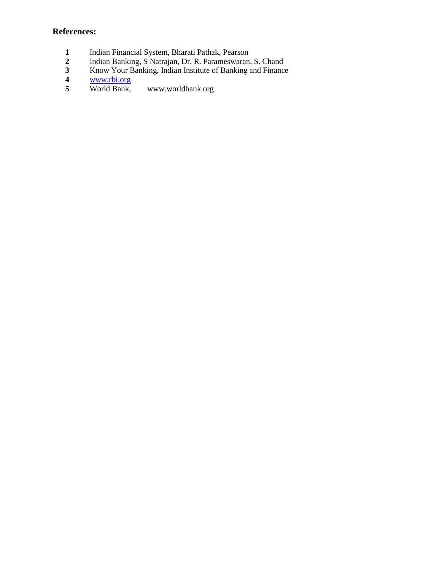- 1 Indian Financial System, Bharati Pathak, Pearson<br>2 Indian Banking, S Natrajan, Dr. R. Parameswaran,
- **2** Indian Banking, S Natrajan, Dr. R. Parameswaran, S. Chand
- **3** Know Your Banking, Indian Institute of Banking and Finance<br> **4** World Bank, www.worldbank.org
- **4** [www.rbi.org](http://www.rbi.org/)
- [www.worldbank.org](http://www.worldbank.org/)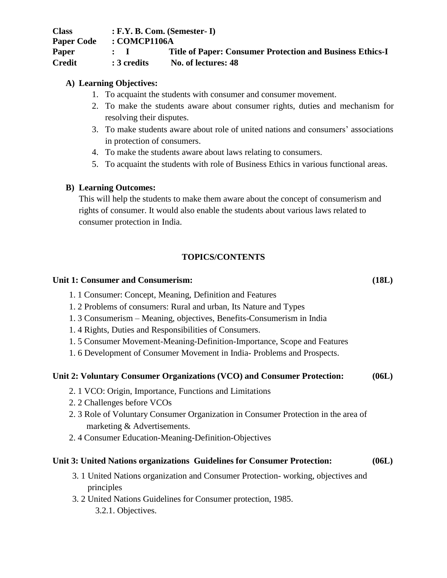**Class : F.Y. B. Com. (Semester- I) Paper Code : COMCP1106A Paper : I Title of Paper: Consumer Protection and Business Ethics-I Credit : 3 credits No. of lectures: 48**

## **A) Learning Objectives:**

- 1. To acquaint the students with consumer and consumer movement.
- 2. To make the students aware about consumer rights, duties and mechanism for resolving their disputes.
- 3. To make students aware about role of united nations and consumers' associations in protection of consumers.
- 4. To make the students aware about laws relating to consumers.
- 5. To acquaint the students with role of Business Ethics in various functional areas.

## **B) Learning Outcomes:**

This will help the students to make them aware about the concept of consumerism and rights of consumer. It would also enable the students about various laws related to consumer protection in India.

## **TOPICS/CONTENTS**

### **Unit 1: Consumer and Consumerism: (18L)**

- 1. 1 Consumer: Concept, Meaning, Definition and Features
- 1. 2 Problems of consumers: Rural and urban, Its Nature and Types
- 1. 3 Consumerism Meaning, objectives, Benefits-Consumerism in India
- 1. 4 Rights, Duties and Responsibilities of Consumers.
- 1. 5 Consumer Movement-Meaning-Definition-Importance, Scope and Features
- 1. 6 Development of Consumer Movement in India- Problems and Prospects.

### **Unit 2: Voluntary Consumer Organizations (VCO) and Consumer Protection: (06L)**

- 2. 1 VCO: Origin, Importance, Functions and Limitations
- 2. 2 Challenges before VCOs
- 2. 3 Role of Voluntary Consumer Organization in Consumer Protection in the area of marketing & Advertisements.
- 2. 4 Consumer Education-Meaning-Definition-Objectives

### **Unit 3: United Nations organizations Guidelines for Consumer Protection: (06L)**

- 3. 1 United Nations organization and Consumer Protection- working, objectives and principles
- 3. 2 United Nations Guidelines for Consumer protection, 1985. 3.2.1. Objectives.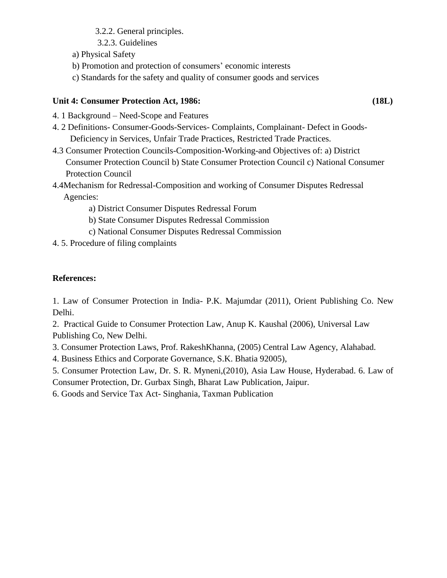3.2.2. General principles.

- 3.2.3. Guidelines
- a) Physical Safety
- b) Promotion and protection of consumers' economic interests
- c) Standards for the safety and quality of consumer goods and services

## **Unit 4: Consumer Protection Act, 1986: (18L)**

- 4. 1 Background Need-Scope and Features
- 4. 2 Definitions- Consumer-Goods-Services- Complaints, Complainant- Defect in Goods-Deficiency in Services, Unfair Trade Practices, Restricted Trade Practices.
- 4.3 Consumer Protection Councils-Composition-Working-and Objectives of: a) District Consumer Protection Council b) State Consumer Protection Council c) National Consumer Protection Council
- 4.4Mechanism for Redressal-Composition and working of Consumer Disputes Redressal Agencies:
	- a) District Consumer Disputes Redressal Forum
	- b) State Consumer Disputes Redressal Commission
	- c) National Consumer Disputes Redressal Commission
- 4. 5. Procedure of filing complaints

## **References:**

1. Law of Consumer Protection in India- P.K. Majumdar (2011), Orient Publishing Co. New Delhi.

2. Practical Guide to Consumer Protection Law, Anup K. Kaushal (2006), Universal Law Publishing Co, New Delhi.

3. Consumer Protection Laws, Prof. RakeshKhanna, (2005) Central Law Agency, Alahabad.

4. Business Ethics and Corporate Governance, S.K. Bhatia 92005),

5. Consumer Protection Law, Dr. S. R. Myneni,(2010), Asia Law House, Hyderabad. 6. Law of Consumer Protection, Dr. Gurbax Singh, Bharat Law Publication, Jaipur.

6. Goods and Service Tax Act- Singhania, Taxman Publication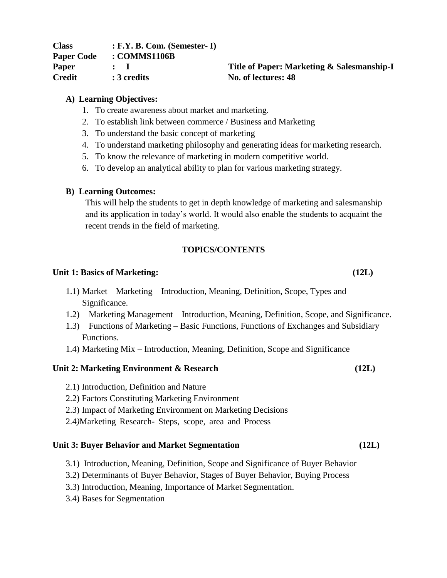| <b>Class</b>      | $: F.Y. B. Com. (Semester-I)$ |
|-------------------|-------------------------------|
| <b>Paper Code</b> | : COMMS1106B                  |
| <b>Paper</b>      | $\mathbf{r}$ $\mathbf{r}$     |
| <b>Credit</b>     | : 3 credits                   |

### **A) Learning Objectives:**

- 1. To create awareness about market and marketing.
- 2. To establish link between commerce / Business and Marketing
- 3. To understand the basic concept of marketing
- 4. To understand marketing philosophy and generating ideas for marketing research.

**No.** of lectures:  $48$ 

- 5. To know the relevance of marketing in modern competitive world.
- 6. To develop an analytical ability to plan for various marketing strategy.

### **B) Learning Outcomes:**

This will help the students to get in depth knowledge of marketing and salesmanship and its application in today's world. It would also enable the students to acquaint the recent trends in the field of marketing.

### **TOPICS/CONTENTS**

### **Unit 1: Basics of Marketing: (12L)**

- 1.1) Market Marketing Introduction, Meaning, Definition, Scope, Types and Significance.
- 1.2) Marketing Management Introduction, Meaning, Definition, Scope, and Significance.
- 1.3) Functions of Marketing Basic Functions, Functions of Exchanges and Subsidiary Functions.
- 1.4) Marketing Mix Introduction, Meaning, Definition, Scope and Significance

### **Unit 2: Marketing Environment & Research (12L)**

- 2.1) Introduction, Definition and Nature
- 2.2) Factors Constituting Marketing Environment
- 2.3) Impact of Marketing Environment on Marketing Decisions
- 2.4*)*Marketing Research- Steps, scope, area and Process

### **Unit 3: Buyer Behavior and Market Segmentation (12L)**

- 3.1) Introduction, Meaning, Definition, Scope and Significance of Buyer Behavior
- 3.2) Determinants of Buyer Behavior, Stages of Buyer Behavior, Buying Process
- 3.3) Introduction, Meaning, Importance of Market Segmentation.
- 3.4) Bases for Segmentation

**Paper : I Title of Paper: Marketing & Salesmanship-I**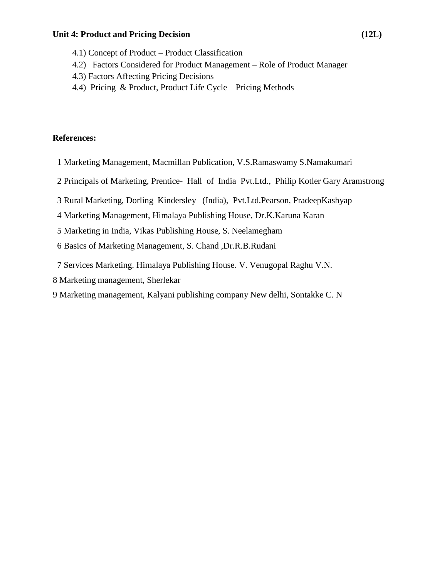### **Unit 4: Product and Pricing Decision (12L)**

- 4.1) Concept of Product Product Classification
- 4.2) Factors Considered for Product Management Role of Product Manager
- 4.3) Factors Affecting Pricing Decisions
- 4.4) Pricing & Product, Product Life Cycle Pricing Methods

- 1 Marketing Management, Macmillan Publication, V.S.Ramaswamy S.Namakumari
- 2 Principals of Marketing, Prentice- Hall of India Pvt.Ltd., Philip Kotler Gary Aramstrong
- 3 Rural Marketing, Dorling Kindersley (India), Pvt.Ltd.Pearson, PradeepKashyap
- 4 Marketing Management, Himalaya Publishing House, Dr.K.Karuna Karan
- 5 Marketing in India, Vikas Publishing House, S. Neelamegham
- 6 Basics of Marketing Management, S. Chand ,Dr.R.B.Rudani
- 7 Services Marketing. Himalaya Publishing House. V. Venugopal Raghu V.N.
- 8 Marketing management, Sherlekar
- 9 Marketing management, Kalyani publishing company New delhi, Sontakke C. N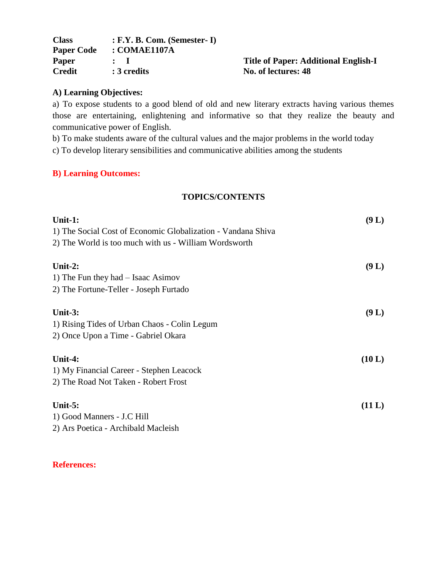| <b>Class</b>      | $: F.Y. B. Com. (Semester-I)$ |
|-------------------|-------------------------------|
| <b>Paper Code</b> | : COMAE1107A                  |
| Paper             |                               |
| <b>Credit</b>     | : 3 credits                   |

## **Paper : I Title of Paper: Additional English-I No.** of lectures:  $48$

## **A) Learning Objectives:**

a) To expose students to a good blend of old and new literary extracts having various themes those are entertaining, enlightening and informative so that they realize the beauty and communicative power of English.

b) To make students aware of the cultural values and the major problems in the world today

c) To develop literary sensibilities and communicative abilities among the students

## **B) Learning Outcomes:**

## **TOPICS/CONTENTS**

| Unit-1:                                                      | (9 L)  |
|--------------------------------------------------------------|--------|
| 1) The Social Cost of Economic Globalization - Vandana Shiva |        |
| 2) The World is too much with us - William Wordsworth        |        |
| Unit-2:                                                      | (9 L)  |
| 1) The Fun they had $-$ Isaac Asimov                         |        |
| 2) The Fortune-Teller - Joseph Furtado                       |        |
| Unit- $3:$                                                   | (9 L)  |
| 1) Rising Tides of Urban Chaos - Colin Legum                 |        |
| 2) Once Upon a Time - Gabriel Okara                          |        |
| Unit-4:                                                      | (10 L) |
| 1) My Financial Career - Stephen Leacock                     |        |
| 2) The Road Not Taken - Robert Frost                         |        |
| Unit- $5:$                                                   | (11 L) |
| 1) Good Manners - J.C Hill                                   |        |
| 2) Ars Poetica - Archibald Macleish                          |        |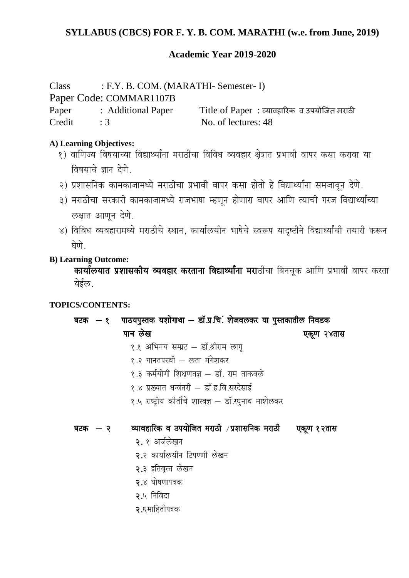## **Academic Year 2019-2020**

Class : F.Y. B. COM. (MARATHI- Semester- I)

Paper Code: COMMAR1107B

Paper : Additional Paper Title of Paper : व्यावहारिक व उपयोजित मराठी Credit : 3 No. of lectures: 48

## **A) Learning Objectives:**

- १) वाणिज्य विषयाच्या विद्यार्थ्यांना मराठीचा विविध व्यवहार क्षेत्रात प्रभावी वापर कसा करावा या विषयाचे ज्ञान देणे.
- २) प्रशासनिक कामकाजामध्ये मराठीचा प्रभावी वापर कसा होतो हे विद्यार्थ्यांना समजावन देणे.
- ३) मराठीचा सरकारी कामकाजामध्ये राजभाषा म्हणून होणारा वापर आणि त्याची गरज विद्यार्थ्यांच्या लक्षात आणून देणे.
- ४) विविध व्यवहारामध्ये मराठीचे स्थान, कार्यालयीन भाषेचे स्वरूप यादृष्टीने विद्यार्थ्यांची तयारी करून घेणे

## **B) Learning Outcome:**

कार्यालयात प्रशासकीय व्यवहार करताना विद्यार्थ्यांना मराठीचा बिनचूक आणि प्रभावी वापर करता येईल

## **TOPICS/CONTENTS:**

घटक  $-$  १ पाठयपुस्तक यशोगाथा — डॉ.प्र.चि. शेजवलकर या पुस्तकातील निवडक पाच लेख जिल्लाको अस्ति । अस्ति पश्चिम अस्ति । अस्ति पश्चिम अस्ति । अस्ति । अस्ति । अस्ति । अस्ति । अस्ति । अस्

- १.१ अभिनय सम्प्रट डॉ.श्रीराम लाग
- १.२ गानतपस्वी लता मंगेशकर
- १.३ कर्मयोगी शिक्षणतज्ञ डॉ. राम ताकवले
- १.४ प्रख्यात धन्वंतरी डॉ.ह.वि.सरदेसाई
- १.५ राष्ट्रीय कीर्तीचे शास्त्रज्ञ डॉ.रघुनाथ माशेलकर

## घटक  $-$  २ व्यावहारिक व उपयोजित मराठी /प्रशासनिक मराठी पकूण १२तास

- २. १ अर्जलेखन
- २.२ कार्यालयीन टिपण्णी लेखन
- २.३ इतिवृत्त लेखन
- २.४ घोषणापत्रक
- २.५ निविदा
- $\mathsf{R}$ -६माहितीपत्रक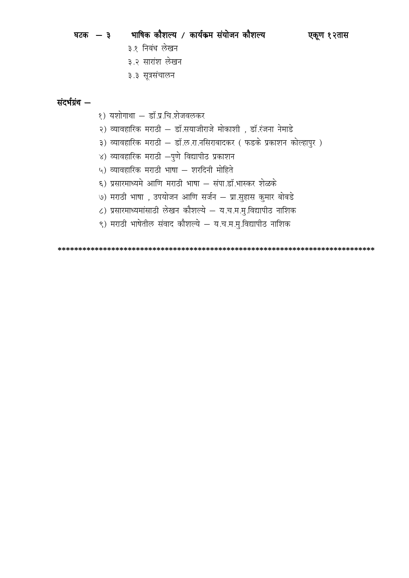| घटक — ३ | भाषिक कौशल्य / कार्यक्रम संयोजन कौशल्य |  | एकूण १२तास |
|---------|----------------------------------------|--|------------|

- ३.१ निबंध लेखन
- ३.२ सारांश लेखन
- ३.३ सूत्रसंचालन

## संदर्भग्रंथ –

- १) यशोगाथा डॉ.प्र.चि.शेजवलकर
- २) व्यावहारिक मराठी डॉ.सयाजीराजे मोकाशी , डॉ.रंजना नेमाडे
- ३) व्यावहारिक मराठी डॉ.ल.रा.नसिराबादकर ( फडके प्रकाशन कोल्हापुर )
- ४) व्यावहारिक मराठी  $-$ पुणे विद्यापीठ प्रकाशन
- ५) व्यावहारिक मराठी भाषा शरदिनी मोहिते
- ६) प्रसारमाध्यमे आणि मराठी भाषा संपा.डॉ.भास्कर शेळके
- ७) मराठी भाषा , उपयोजन आणि सर्जन प्रा.सुहास कुमार बोबडे
- ८) प्रसारमाध्यमांसाठी लेखन कौशल्ये य.च.म.मु.विद्यापीठ नाशिक
- ९) मराठी भाषेतील संवाद कौशल्ये य.च.म.मु.विद्यापीठ नाशिक

 **\*\*\*\*\*\*\*\*\*\*\*\*\*\*\*\*\*\*\*\*\*\*\*\*\*\*\*\*\*\*\*\*\*\*\*\*\*\*\*\*\*\*\*\*\*\*\*\*\*\*\*\*\*\*\*\*\*\*\*\*\*\*\*\*\*\*\*\*\*\*\*\*\*\*\*\*\***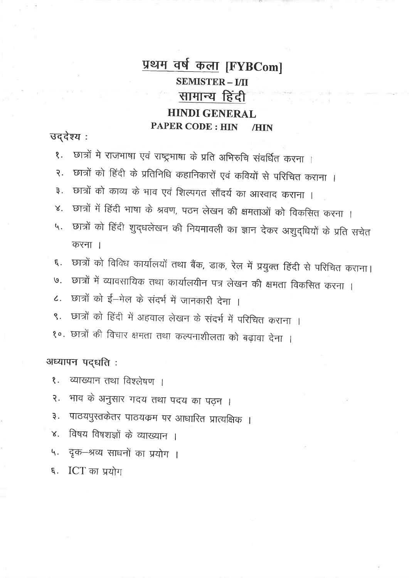## <u>प्रथम वर्ष कला</u> [FYBCom] **SEMISTER - I/II** सामान्य हिंदी **HINDI GENERAL PAPER CODE: HIN** /HIN

## उद्देश्य:

- छात्रों मे राजभाषा एवं राष्ट्रभाषा के प्रति अभिरुचि संवर्धित करना ।  $\overline{\mathbf{S}}$ .
- छात्रों को हिंदी के प्रतिनिधि कहानिकारों एवं कवियों से परिचित कराना ।  $\overline{R}$ .
- छात्रों को काव्य के भाव एवं शिल्पगत सौंदर्य का आस्वाद कराना ।  $\overline{3}$ .
- छात्रों में हिंदी भाषा के श्रवण, पठन लेखन की क्षमताओं को विकसित करना ।  $\mathsf{X}.$
- छात्रों को हिंदी शुद्धलेखन की नियमावली का ज्ञान देकर अशुद्धियों के प्रति सचेत 4. करना ।
- छात्रों को विविध कार्यालयों तथा बैंक, डाक, रेल में प्रयुक्त हिंदी से परिचित कराना।  $\epsilon$ .
- छात्रों में व्यावसायिक तथा कार्यालयीन पत्र लेखन की क्षमता विकसित करना ।  $\mathcal{G}$ .
- छात्रों को ई-मेल के संदर्भ में जानकारी देना ।  $\overline{\mathcal{L}}$ .
- छात्रों को हिंदी में अहवाल लेखन के संदर्भ में परिचित कराना ।  $\mathcal{S}$ .
- १०. छात्रों की विचार क्षमता तथा कल्पनाशीलता को बढ़ावा देना ।

अध्यापन पद्धति:

- व्याख्यान तथा विश्लेषण । ₹.
- भाव के अनुसार गदय तथा पदय का पढ़न ।  $\overline{R}$ .
- पाठयपुस्तकेतर पाठयक्रम पर आधारित प्रात्यक्षिक । ३.
- विषय विषशज्ञों के व्याख्यान ।  $\mathsf{X}.$
- दृक-श्रव्य साधनों का प्रयोग । 4.
- ICT का प्रयोग  $\xi$ .